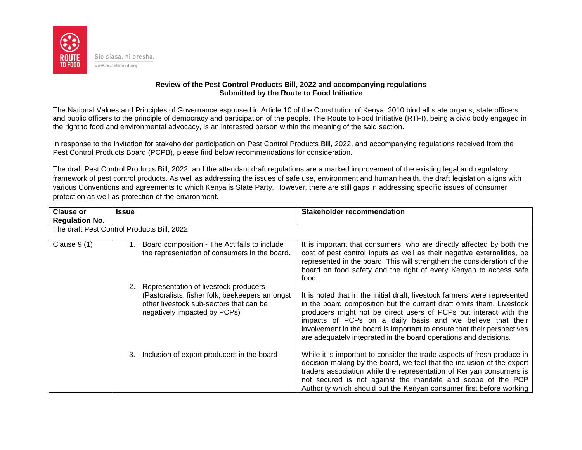

## **Review of the Pest Control Products Bill, 2022 and accompanying regulations Submitted by the Route to Food Initiative**

The National Values and Principles of Governance espoused in Article 10 of the Constitution of Kenya, 2010 bind all state organs, state officers and public officers to the principle of democracy and participation of the people. The Route to Food Initiative (RTFI), being a civic body engaged in the right to food and environmental advocacy, is an interested person within the meaning of the said section.

In response to the invitation for stakeholder participation on Pest Control Products Bill, 2022, and accompanying regulations received from the Pest Control Products Board (PCPB), please find below recommendations for consideration.

The draft Pest Control Products Bill, 2022, and the attendant draft regulations are a marked improvement of the existing legal and regulatory framework of pest control products. As well as addressing the issues of safe use, environment and human health, the draft legislation aligns with various Conventions and agreements to which Kenya is State Party. However, there are still gaps in addressing specific issues of consumer protection as well as protection of the environment.

| <b>Clause or</b>                           | <b>Issue</b> |                                                                                                                                                                    | Stakeholder recommendation                                                                                                                                                                                                                                                                                                                                                                                                          |  |
|--------------------------------------------|--------------|--------------------------------------------------------------------------------------------------------------------------------------------------------------------|-------------------------------------------------------------------------------------------------------------------------------------------------------------------------------------------------------------------------------------------------------------------------------------------------------------------------------------------------------------------------------------------------------------------------------------|--|
| <b>Regulation No.</b>                      |              |                                                                                                                                                                    |                                                                                                                                                                                                                                                                                                                                                                                                                                     |  |
| The draft Pest Control Products Bill, 2022 |              |                                                                                                                                                                    |                                                                                                                                                                                                                                                                                                                                                                                                                                     |  |
| Clause $9(1)$                              |              | Board composition - The Act fails to include<br>the representation of consumers in the board.                                                                      | It is important that consumers, who are directly affected by both the<br>cost of pest control inputs as well as their negative externalities, be<br>represented in the board. This will strengthen the consideration of the<br>board on food safety and the right of every Kenyan to access safe<br>food.                                                                                                                           |  |
|                                            |              | Representation of livestock producers<br>(Pastoralists, fisher folk, beekeepers amongst<br>other livestock sub-sectors that can be<br>negatively impacted by PCPs) | It is noted that in the initial draft, livestock farmers were represented<br>in the board composition but the current draft omits them. Livestock<br>producers might not be direct users of PCPs but interact with the<br>impacts of PCPs on a daily basis and we believe that their<br>involvement in the board is important to ensure that their perspectives<br>are adequately integrated in the board operations and decisions. |  |
|                                            | 3.           | Inclusion of export producers in the board                                                                                                                         | While it is important to consider the trade aspects of fresh produce in<br>decision making by the board, we feel that the inclusion of the export<br>traders association while the representation of Kenyan consumers is<br>not secured is not against the mandate and scope of the PCP<br>Authority which should put the Kenyan consumer first before working                                                                      |  |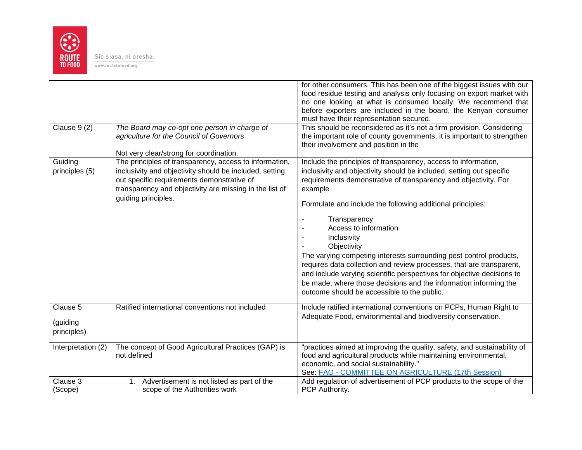

Sio siasa, ni presha.

www.routetofood.org

|                                     |                                                                                                                                                                                                                                                   | for other consumers. This has been one of the biggest issues with our<br>food residue testing and analysis only focusing on export market with<br>no one looking at what is consumed locally. We recommend that<br>before exporters are included in the board, the Kenyan consumer<br>must have their representation secured.                                                                                                                                                                                                                                                                                                                                                                        |
|-------------------------------------|---------------------------------------------------------------------------------------------------------------------------------------------------------------------------------------------------------------------------------------------------|------------------------------------------------------------------------------------------------------------------------------------------------------------------------------------------------------------------------------------------------------------------------------------------------------------------------------------------------------------------------------------------------------------------------------------------------------------------------------------------------------------------------------------------------------------------------------------------------------------------------------------------------------------------------------------------------------|
| Clause 9 (2)                        | The Board may co-opt one person in charge of<br>agriculture for the Council of Governors<br>Not very clear/strong for coordination.                                                                                                               | This should be reconsidered as it's not a firm provision. Considering<br>the important role of county governments, it is important to strengthen<br>their involvement and position in the                                                                                                                                                                                                                                                                                                                                                                                                                                                                                                            |
| Guiding<br>principles (5)           | The principles of transparency, access to information,<br>inclusivity and objectivity should be included, setting<br>out specific requirements demonstrative of<br>transparency and objectivity are missing in the list of<br>guiding principles. | Include the principles of transparency, access to information,<br>inclusivity and objectivity should be included, setting out specific<br>requirements demonstrative of transparency and objectivity. For<br>example<br>Formulate and include the following additional principles:<br>Transparency<br>Access to information<br>Inclusivity<br>Objectivity<br>The varying competing interests surrounding pest control products,<br>requires data collection and review processes, that are transparent,<br>and include varying scientific perspectives for objective decisions to<br>be made, where those decisions and the information informing the<br>outcome should be accessible to the public. |
| Clause 5<br>(guiding<br>principles) | Ratified international conventions not included                                                                                                                                                                                                   | Include ratified international conventions on PCPs, Human Right to<br>Adequate Food, environmental and biodiversity conservation.                                                                                                                                                                                                                                                                                                                                                                                                                                                                                                                                                                    |
| Interpretation (2)                  | The concept of Good Agricultural Practices (GAP) is<br>not defined                                                                                                                                                                                | "practices aimed at improving the quality, safety, and sustainability of<br>food and agricultural products while maintaining environmental,<br>economic, and social sustainability."<br>See: FAO - COMMITTEE ON AGRICULTURE (17th Session)                                                                                                                                                                                                                                                                                                                                                                                                                                                           |
| Clause 3<br>(Scope)                 | Advertisement is not listed as part of the<br>1.<br>scope of the Authorities work                                                                                                                                                                 | Add regulation of advertisement of PCP products to the scope of the<br>PCP Authority.                                                                                                                                                                                                                                                                                                                                                                                                                                                                                                                                                                                                                |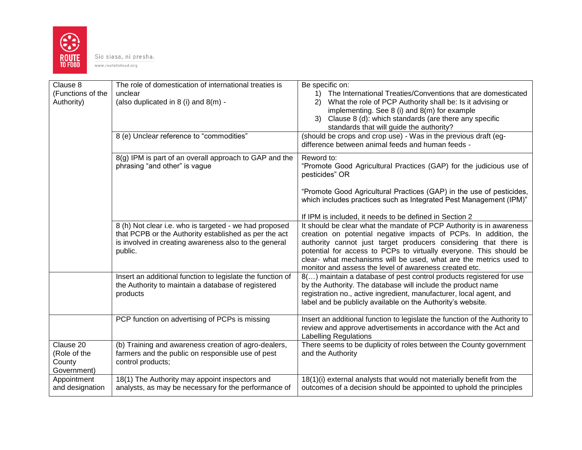

Sio siasa, ni presha. www.routetofood.org

| Clause 8<br>(Functions of the<br>Authority)        | The role of domestication of international treaties is<br>unclear<br>(also duplicated in 8 (i) and 8(m) -                      | Be specific on:<br>1) The International Treaties/Conventions that are domesticated<br>What the role of PCP Authority shall be: Is it advising or<br>(2)<br>implementing. See 8 (i) and 8(m) for example<br>3) Clause 8 (d): which standards (are there any specific<br>standards that will guide the authority?                           |
|----------------------------------------------------|--------------------------------------------------------------------------------------------------------------------------------|-------------------------------------------------------------------------------------------------------------------------------------------------------------------------------------------------------------------------------------------------------------------------------------------------------------------------------------------|
|                                                    | 8 (e) Unclear reference to "commodities"                                                                                       | (should be crops and crop use) - Was in the previous draft (eg-<br>difference between animal feeds and human feeds -                                                                                                                                                                                                                      |
|                                                    | 8(g) IPM is part of an overall approach to GAP and the<br>phrasing "and other" is vague                                        | Reword to:<br>"Promote Good Agricultural Practices (GAP) for the judicious use of<br>pesticides" OR                                                                                                                                                                                                                                       |
|                                                    |                                                                                                                                | "Promote Good Agricultural Practices (GAP) in the use of pesticides,<br>which includes practices such as Integrated Pest Management (IPM)"                                                                                                                                                                                                |
|                                                    | 8 (h) Not clear i.e. who is targeted - we had proposed                                                                         | If IPM is included, it needs to be defined in Section 2<br>It should be clear what the mandate of PCP Authority is in awareness                                                                                                                                                                                                           |
|                                                    | that PCPB or the Authority established as per the act<br>is involved in creating awareness also to the general<br>public.      | creation on potential negative impacts of PCPs. In addition, the<br>authority cannot just target producers considering that there is<br>potential for access to PCPs to virtually everyone. This should be<br>clear- what mechanisms will be used, what are the metrics used to<br>monitor and assess the level of awareness created etc. |
|                                                    | Insert an additional function to legislate the function of<br>the Authority to maintain a database of registered<br>products   | 8() maintain a database of pest control products registered for use<br>by the Authority. The database will include the product name<br>registration no., active ingredient, manufacturer, local agent, and<br>label and be publicly available on the Authority's website.                                                                 |
|                                                    | PCP function on advertising of PCPs is missing                                                                                 | Insert an additional function to legislate the function of the Authority to<br>review and approve advertisements in accordance with the Act and<br><b>Labelling Regulations</b>                                                                                                                                                           |
| Clause 20<br>(Role of the<br>County<br>Government) | (b) Training and awareness creation of agro-dealers,<br>farmers and the public on responsible use of pest<br>control products; | There seems to be duplicity of roles between the County government<br>and the Authority                                                                                                                                                                                                                                                   |
| Appointment<br>and designation                     | 18(1) The Authority may appoint inspectors and<br>analysts, as may be necessary for the performance of                         | 18(1)(i) external analysts that would not materially benefit from the<br>outcomes of a decision should be appointed to uphold the principles                                                                                                                                                                                              |